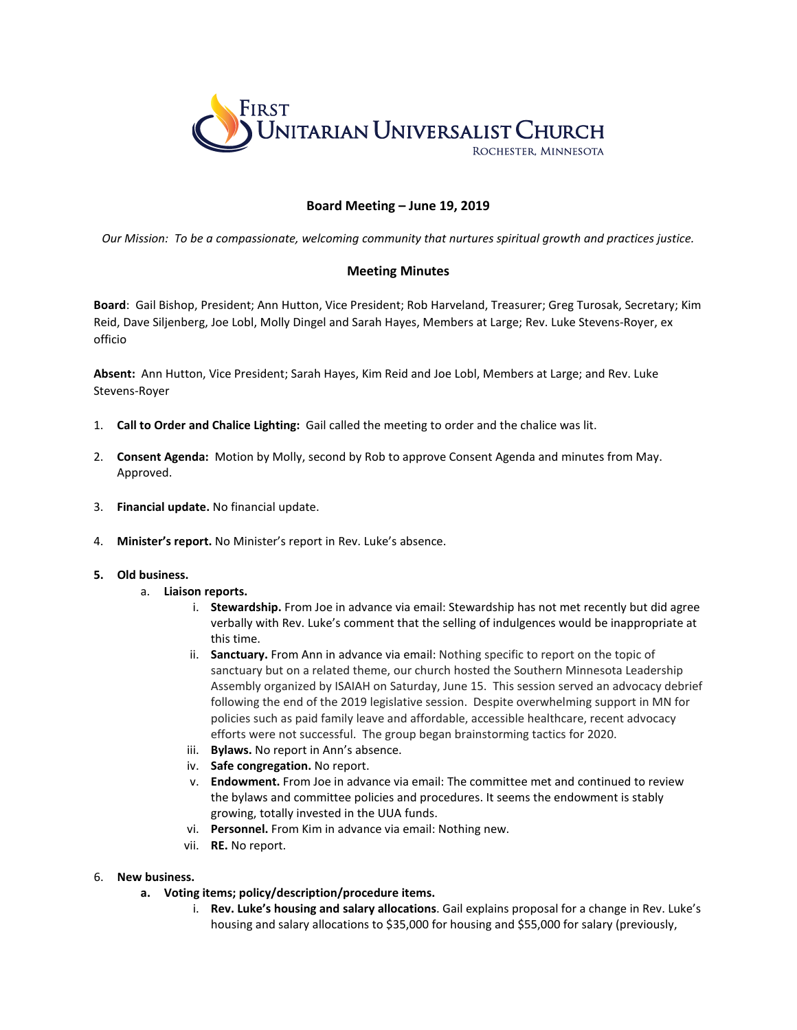

## **Board Meeting – June 19, 2019**

*Our Mission: To be a compassionate, welcoming community that nurtures spiritual growth and practices justice.*

## **Meeting Minutes**

**Board**: Gail Bishop, President; Ann Hutton, Vice President; Rob Harveland, Treasurer; Greg Turosak, Secretary; Kim Reid, Dave Siljenberg, Joe Lobl, Molly Dingel and Sarah Hayes, Members at Large; Rev. Luke Stevens-Royer, ex officio

**Absent:** Ann Hutton, Vice President; Sarah Hayes, Kim Reid and Joe Lobl, Members at Large; and Rev. Luke Stevens-Royer

- 1. **Call to Order and Chalice Lighting:** Gail called the meeting to order and the chalice was lit.
- 2. **Consent Agenda:** Motion by Molly, second by Rob to approve Consent Agenda and minutes from May. Approved.
- 3. **Financial update.** No financial update.
- 4. **Minister's report.** No Minister's report in Rev. Luke's absence.

## **5. Old business.**

- a. **Liaison reports.**
	- i. **Stewardship.** From Joe in advance via email: Stewardship has not met recently but did agree verbally with Rev. Luke's comment that the selling of indulgences would be inappropriate at this time.
	- ii. **Sanctuary.** From Ann in advance via email: Nothing specific to report on the topic of sanctuary but on a related theme, our church hosted the Southern Minnesota Leadership Assembly organized by ISAIAH on Saturday, June 15. This session served an advocacy debrief following the end of the 2019 legislative session. Despite overwhelming support in MN for policies such as paid family leave and affordable, accessible healthcare, recent advocacy efforts were not successful. The group began brainstorming tactics for 2020.
	- iii. **Bylaws.** No report in Ann's absence.
	- iv. **Safe congregation.** No report.
	- v. **Endowment.** From Joe in advance via email: The committee met and continued to review the bylaws and committee policies and procedures. It seems the endowment is stably growing, totally invested in the UUA funds.
	- vi. **Personnel.** From Kim in advance via email: Nothing new.
	- vii. **RE.** No report.

## 6. **New business.**

- **a. Voting items; policy/description/procedure items.**
	- i. **Rev. Luke's housing and salary allocations**. Gail explains proposal for a change in Rev. Luke's housing and salary allocations to \$35,000 for housing and \$55,000 for salary (previously,